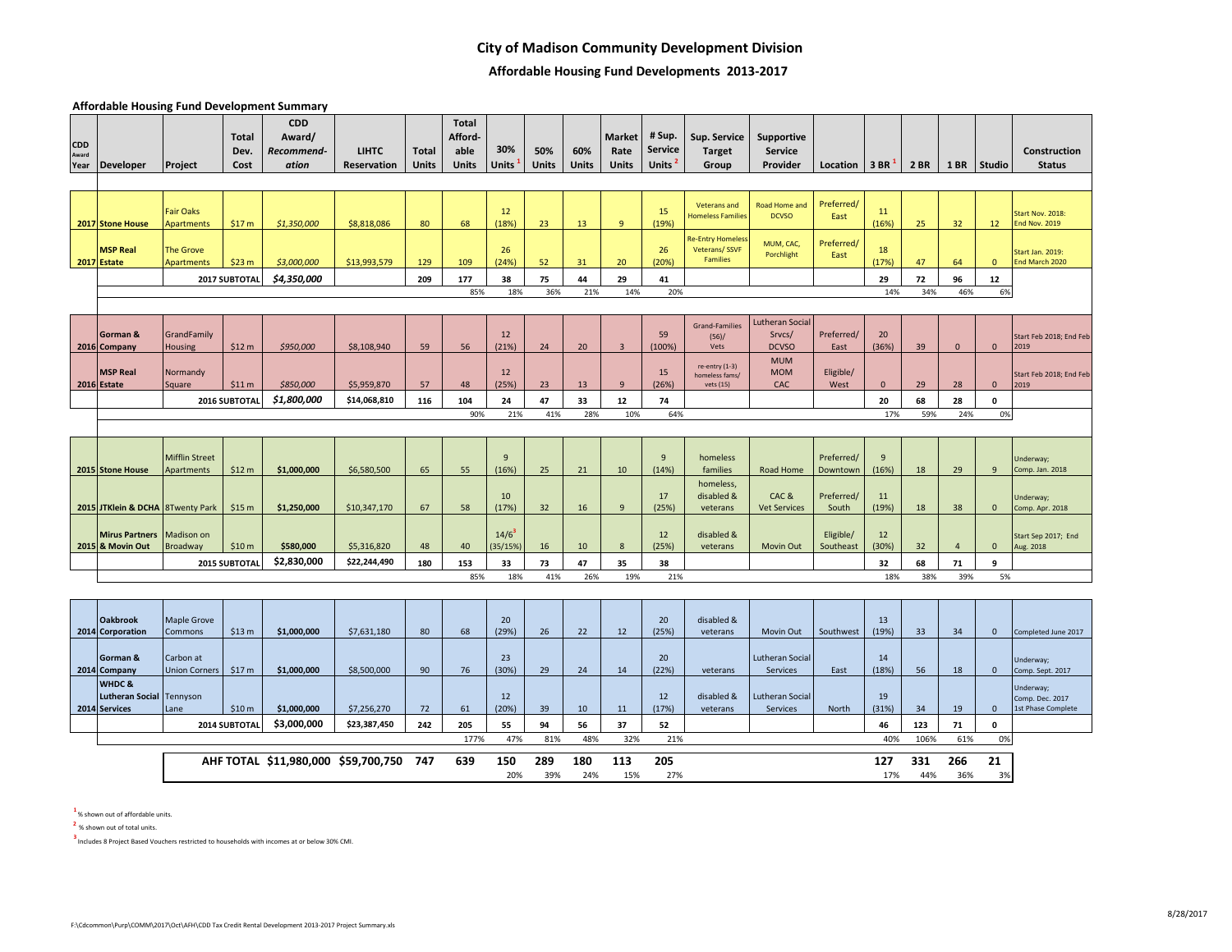## **City of Madison Community Development Division**

# **Affordable Housing Fund Developments 2013-2017**

**Affordable Housing Fund Development Summary**

| <b>CDD</b><br>Award<br>Year | <b>Developer</b>                                   | Project                               | <b>Total</b><br>Dev.<br>Cost | <b>CDD</b><br>Award/<br>Recommend-<br>ation | <b>LIHTC</b><br>Reservation | Total<br>Units | <b>Total</b><br>Afford-<br>able<br><b>Units</b> | 30%<br><b>Units</b> | 50%<br>Units | 60%<br>Units | <b>Market</b><br>Rate<br>Units | # Sup.<br><b>Service</b><br>Units <sup>2</sup> | Sup. Service<br><b>Target</b><br>Group               | Supportive<br><b>Service</b><br>Provider         | Location               | 3 BR        | 2 BR       | <b>1 BR</b>    | Studio             | Construction<br><b>Status</b>                      |
|-----------------------------|----------------------------------------------------|---------------------------------------|------------------------------|---------------------------------------------|-----------------------------|----------------|-------------------------------------------------|---------------------|--------------|--------------|--------------------------------|------------------------------------------------|------------------------------------------------------|--------------------------------------------------|------------------------|-------------|------------|----------------|--------------------|----------------------------------------------------|
|                             |                                                    |                                       |                              |                                             |                             |                |                                                 |                     |              |              |                                |                                                |                                                      |                                                  |                        |             |            |                |                    |                                                    |
|                             | 2017 Stone House                                   | <b>Fair Oaks</b><br><b>Apartments</b> | \$17 m                       | \$1,350,000                                 | \$8,818,086                 | 80             | 68                                              | 12<br>(18%)         | 23           | 13           | 9                              | 15<br>(19%)                                    | <b>Veterans and</b><br><b>Homeless Families</b>      | Road Home and<br><b>DCVSO</b>                    | Preferred/<br>East     | 11<br>(16%) | 25         | 32             | 12                 | Start Nov. 2018:<br><b>End Nov. 2019</b>           |
|                             | <b>MSP Real</b><br>2017 Estate                     | <b>The Grove</b><br>Apartments        | \$23 m                       | \$3,000,000                                 | \$13,993,579                | 129            | 109                                             | 26<br>(24%)         | 52           | 31           | 20                             | 26<br>(20%)                                    | <b>Re-Entry Homeles</b><br>Veterans/SSVF<br>Families | MUM, CAC,<br>Porchlight                          | Preferred/<br>East     | 18<br>(17%) | 47         | 64             | $\mathbf{0}$       | Start Jan. 2019:<br>End March 2020                 |
|                             |                                                    |                                       | 2017 SUBTOTAL                | \$4,350,000                                 |                             | 209            | 177                                             | 38                  | 75           | 44           | 29                             | 41                                             |                                                      |                                                  |                        | 29          | 72         | 96             | $12\,$             |                                                    |
|                             |                                                    |                                       |                              |                                             |                             |                | 85%                                             | 18%                 | 36%          | 21%          | 14%                            | 20%                                            |                                                      |                                                  |                        | 14%         | 34%        | 46%            | 6%                 |                                                    |
|                             |                                                    |                                       |                              |                                             |                             |                |                                                 |                     |              |              |                                |                                                |                                                      |                                                  |                        |             |            |                |                    |                                                    |
|                             | Gorman &<br>2016 Company                           | GrandFamily<br><b>Housing</b>         | \$12 m                       | \$950,000                                   | \$8,108,940                 | 59             | 56                                              | 12<br>(21%)         | 24           | 20           | $\overline{3}$                 | 59<br>(100%)                                   | <b>Grand-Families</b><br>(56)/<br>Vets               | <b>Lutheran Social</b><br>Srvcs/<br><b>DCVSO</b> | Preferred/<br>East     | 20<br>(36%) | 39         | $\mathbf{0}$   | $\mathbf{0}$       | Start Feb 2018; End Feb<br>2019                    |
|                             | <b>MSP Real</b><br>2016 Estate                     | Normandy<br>Square                    | \$11 m                       | \$850,000                                   | \$5,959,870                 | 57             | 48                                              | 12<br>(25%)         | 23           | 13           | $\mathbf{q}$                   | 15<br>(26%)                                    | re-entry (1-3)<br>homeless fams/<br>vets (15)        | <b>MUM</b><br><b>MOM</b><br>CAC                  | Eligible/<br>West      | $\Omega$    | 29         | 28             | $\mathbf{0}$       | Start Feb 2018; End Feb<br>2019                    |
|                             |                                                    |                                       | 2016 SUBTOTAI                | \$1,800,000                                 | \$14,068,810                | 116            | 104                                             | 24                  | 47           | 33           | 12                             | 74                                             |                                                      |                                                  |                        | 20          | 68         | 28             | $\pmb{\mathsf{o}}$ |                                                    |
|                             |                                                    |                                       |                              |                                             |                             |                | 90%                                             | 21%                 | 41%          | 28%          | 10%                            | 64%                                            |                                                      |                                                  |                        | 17%         | 59%        | 24%            | 0%                 |                                                    |
|                             |                                                    |                                       |                              |                                             |                             |                |                                                 |                     |              |              |                                |                                                |                                                      |                                                  |                        |             |            |                |                    |                                                    |
|                             | 2015 Stone House                                   | <b>Mifflin Street</b><br>Apartments   | \$12 m                       | \$1,000,000                                 | \$6,580,500                 | 65             | 55                                              | 9<br>(16%)          | 25           | 21           | 10                             | 9<br>(14%)                                     | homeless<br>families                                 | Road Home                                        | Preferred/<br>Downtown | 9<br>(16%)  | 18         | 29             | $\mathbf{q}$       | Underway;<br>Comp. Jan. 2018                       |
|                             | 2015 JTKlein & DCHA 8Twenty Park                   |                                       | \$15 m                       | \$1,250,000                                 | \$10,347,170                | 67             | 58                                              | 10<br>(17%)         | 32           | 16           | 9                              | 17<br>(25%)                                    | homeless,<br>disabled &<br>veterans                  | CAC &<br><b>Vet Services</b>                     | Preferred/<br>South    | 11<br>(19%) | 18         | 38             | $\mathbf 0$        | Underway;<br>Comp. Apr. 2018                       |
|                             | <b>Mirus Partners</b><br>2015 & Movin Out          | Madison on<br><b>Broadway</b>         | \$10 <sub>m</sub>            | \$580,000                                   | \$5,316,820                 | 48             | 40                                              | $14/6^3$<br>35/15%) | 16           | 10           | 8                              | 12<br>(25%)                                    | disabled &<br>veterans                               | Movin Out                                        | Eligible/<br>Southeast | 12<br>(30%) | 32         | $\overline{4}$ | $\mathbf{0}$       | Start Sep 2017; End<br>Aug. 2018                   |
|                             |                                                    |                                       | 2015 SUBTOTAL                | \$2,830,000                                 | \$22,244,490                | 180            | 153                                             | 33                  | 73           | 47           | 35                             | 38                                             |                                                      |                                                  |                        | 32          | 68         | 71             | 9                  |                                                    |
|                             |                                                    |                                       |                              |                                             |                             |                | 85%                                             | 18%                 | 41%          | 26%          | 19%                            | 21%                                            |                                                      |                                                  |                        | 18%         | 38%        | 39%            | 5%                 |                                                    |
|                             |                                                    |                                       |                              |                                             |                             |                |                                                 |                     |              |              |                                |                                                |                                                      |                                                  |                        |             |            |                |                    |                                                    |
|                             | <b>Oakbrook</b><br>2014 Corporation                | <b>Maple Grove</b><br>Commons         | \$13 m                       | \$1,000,000                                 | \$7,631,180                 | 80             | 68                                              | 20<br>(29%)         | 26           | 22           | 12                             | 20<br>(25%)                                    | disabled &<br>veterans                               | Movin Out                                        | Southwest              | 13<br>(19%) | 33         | 34             | $\mathbf{0}$       | Completed June 2017                                |
|                             | Gorman &<br>2014 Company                           | Carbon at<br><b>Union Corners</b>     | \$17 m                       | \$1,000,000                                 | \$8,500,000                 | 90             | 76                                              | 23<br>(30%)         | 29           | 24           | 14                             | 20<br>(22%)                                    | veterans                                             | Lutheran Social<br><b>Services</b>               | East                   | 14<br>(18%) | 56         | 18             | $\mathbf 0$        | Underway;<br>Comp. Sept. 2017                      |
|                             | WHDC&<br>Lutheran Social Tennyson<br>2014 Services | Lane                                  | \$10 <sub>m</sub>            | \$1,000,000                                 | \$7,256,270                 | 72             | 61                                              | 12<br>(20%)         | 39           | 10           | 11                             | 12<br>(17%)                                    | disabled &<br>veterans                               | <b>Lutheran Social</b><br>Services               | North                  | 19<br>(31%) | 34         | 19             | $\mathbf 0$        | Underway;<br>Comp. Dec. 2017<br>1st Phase Complete |
|                             |                                                    |                                       | 2014 SUBTOTAL                | \$3,000,000                                 | \$23,387,450                | 242            | 205                                             | 55                  | 94           | 56           | 37                             | 52                                             |                                                      |                                                  |                        | 46          | 123        | 71             | $\mathbf 0$        |                                                    |
|                             |                                                    |                                       |                              |                                             |                             |                | 177%                                            | 47%                 | 81%          | 48%          | 32%                            | 21%                                            |                                                      |                                                  |                        | 40%         | 106%       | 61%            | 0%                 |                                                    |
|                             |                                                    |                                       |                              | AHF TOTAL \$11,980,000 \$59,700,750 747     |                             |                | 639                                             | 150<br>20%          | 289<br>39%   | 180<br>24%   | 113<br>15%                     | 205<br>27%                                     |                                                      |                                                  |                        | 127<br>17%  | 331<br>44% | 266<br>36%     | 21<br>3%           |                                                    |

**1** % shown out of affordable units.

**<sup>2</sup>**% shown out of total units.

**3** Includes 8 Project Based Vouchers restricted to households with incomes at or below 30% CMI.